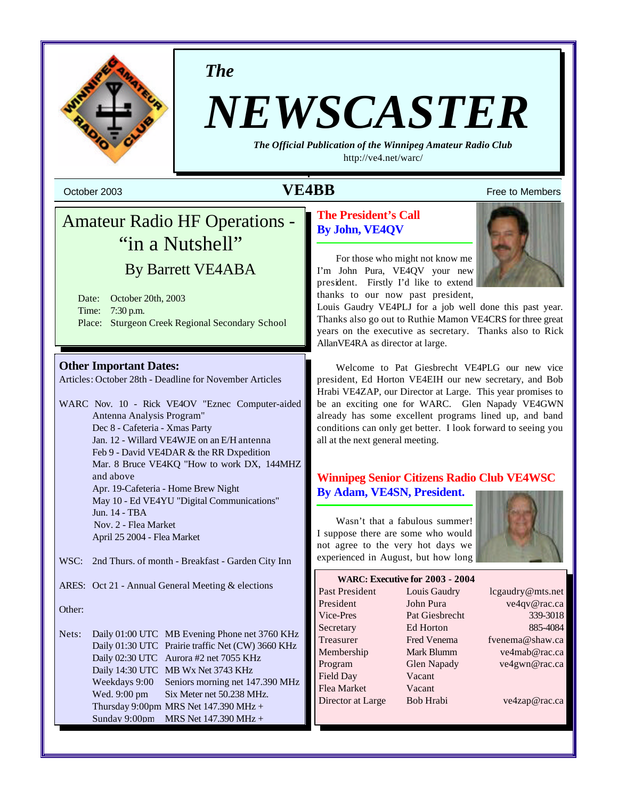

*The*

# *NEWSCASTER*

*The Official Publication of the Winnipeg Amateur Radio Club* <http://ve4.net/warc/>

## **October 2003 Constant Constant Constant Constant Constant Constant Constant Constant Constant Constant Constant Constant Constant Constant Constant Constant Constant Constant Constant Constant Constant Constant Constant**

# Amateur Radio HF Operations - "in a Nutshell" By Barrett VE4ABA

Date: October 20th, 2003 Time: 7:30 p.m. Place: Sturgeon Creek Regional Secondary School

#### **Other Important Dates:**

Articles: October 28th - Deadline for November Articles

WARC Nov. 10 - Rick VE4OV "Eznec Computer-aided Antenna Analysis Program" Dec 8 - Cafeteria - Xmas Party Jan. 12 - Willard VE4WJE on an E/H antenna Feb 9 - David VE4DAR & the RR Dxpedition Mar. 8 Bruce VE4KQ "How to work DX, 144MHZ and above Apr. 19-Cafeteria - Home Brew Night May 10 - Ed VE4YU "Digital Communications" Jun. 14 - TBA Nov. 2 - Flea Market April 25 2004 - Flea Market

- WSC: 2nd Thurs. of month Breakfast Garden City Inn
- ARES: Oct 21 Annual General Meeting & elections

Other:

Nets: Daily 01:00 UTC MB Evening Phone net 3760 KHz Daily 01:30 UTC Prairie traffic Net (CW) 3660 KHz Daily 02:30 UTC Aurora #2 net 7055 KHz Daily 14:30 UTC MB Wx Net 3743 KHz Weekdays 9:00 Seniors morning net 147.390 MHz Wed. 9:00 pm Six Meter net 50.238 MHz. Thursday 9:00pm MRS Net  $147.390$  MHz + Sunday 9:00pm MRS Net 147.390 MHz +

#### **The President's Call By John, VE4QV**

For those who might not know me I'm John Pura, VE4QV your new president. Firstly I'd like to extend thanks to our now past president,

Louis Gaudry VE4PLJ for a job well done this past year. Thanks also go out to Ruthie Mamon VE4CRS for three great years on the executive as secretary. Thanks also to Rick AllanVE4RA as director at large.

Welcome to Pat Giesbrecht VE4PLG our new vice president, Ed Horton VE4EIH our new secretary, and Bob Hrabi VE4ZAP, our Director at Large. This year promises to be an exciting one for WARC. Glen Napady VE4GWN already has some excellent programs lined up, and band conditions can only get better. I look forward to seeing you all at the next general meeting.

#### **Winnipeg Senior Citizens Radio Club VE4WSC By Adam, VE4SN, President.**

Wasn't that a fabulous summer! I suppose there are some who would not agree to the very hot days we experienced in August, but how long



#### **WARC: Executive for 2003 - 2004**

| <b>Past President</b> | Louis Gaudry       | lcgaudry@mts.net |
|-----------------------|--------------------|------------------|
| President             | John Pura          | ve4qv@rac.ca     |
| Vice-Pres             | Pat Giesbrecht     | 339-3018         |
| Secretary             | Ed Horton          | 885-4084         |
| Treasurer             | <b>Fred Venema</b> | fvenema@shaw.ca  |
| Membership            | Mark Blumm         | ve4mab@rac.ca    |
| Program               | <b>Glen Napady</b> | ve4gwn@rac.ca    |
| Field Day             | Vacant             |                  |
| Flea Market           | Vacant             |                  |
| Director at Large     | Bob Hrabi          | ve4zap@rac.ca    |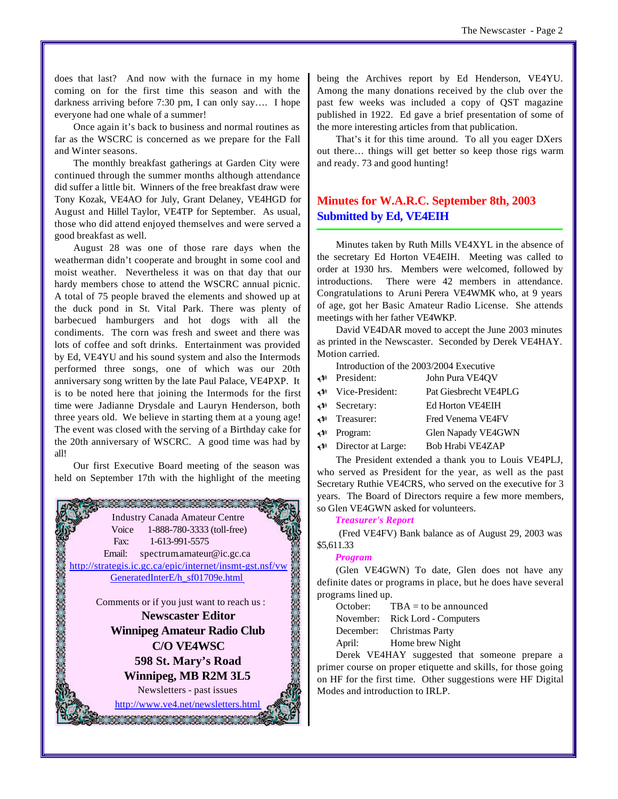does that last? And now with the furnace in my home coming on for the first time this season and with the darkness arriving before 7:30 pm, I can only say…. I hope everyone had one whale of a summer!

Once again it's back to business and normal routines as far as the WSCRC is concerned as we prepare for the Fall and Winter seasons.

The monthly breakfast gatherings at Garden City were continued through the summer months although attendance did suffer a little bit. Winners of the free breakfast draw were Tony Kozak, VE4AO for July, Grant Delaney, VE4HGD for August and Hillel Taylor, VE4TP for September. As usual, those who did attend enjoyed themselves and were served a good breakfast as well.

August 28 was one of those rare days when the weatherman didn't cooperate and brought in some cool and moist weather. Nevertheless it was on that day that our hardy members chose to attend the WSCRC annual picnic. A total of 75 people braved the elements and showed up at the duck pond in St. Vital Park. There was plenty of barbecued hamburgers and hot dogs with all the condiments. The corn was fresh and sweet and there was lots of coffee and soft drinks. Entertainment was provided by Ed, VE4YU and his sound system and also the Intermods performed three songs, one of which was our 20th anniversary song written by the late Paul Palace, VE4PXP. It is to be noted here that joining the Intermods for the first time were Jadianne Drysdale and Lauryn Henderson, both three years old. We believe in starting them at a young age! The event was closed with the serving of a Birthday cake for the 20th anniversary of WSCRC. A good time was had by all!

Our first Executive Board meeting of the season was held on September 17th with the highlight of the meeting



being the Archives report by Ed Henderson, VE4YU. Among the many donations received by the club over the past few weeks was included a copy of QST magazine published in 1922. Ed gave a brief presentation of some of the more interesting articles from that publication.

That's it for this time around. To all you eager DXers out there… things will get better so keep those rigs warm and ready. 73 and good hunting!

#### **Minutes for W.A.R.C. September 8th, 2003 Submitted by Ed, VE4EIH**

Minutes taken by Ruth Mills VE4XYL in the absence of the secretary Ed Horton VE4EIH. Meeting was called to order at 1930 hrs. Members were welcomed, followed by introductions. There were 42 members in attendance. Congratulations to Aruni Perera VE4WMK who, at 9 years of age, got her Basic Amateur Radio License. She attends meetings with her father VE4WKP.

David VE4DAR moved to accept the June 2003 minutes as printed in the Newscaster. Seconded by Derek VE4HAY. Motion carried.

Introduction of the 2003/2004 Executive

- U President: John Pura VE4QV
- U Vice-President: Pat Giesbrecht VE4PLG
- U Secretary: Ed Horton VE4EIH
- U Treasurer: Fred Venema VE4FV U Program: Glen Napady VE4GWN
- U Director at Large: Bob Hrabi VE4ZAP

The President extended a thank you to Louis VE4PLJ, who served as President for the year, as well as the past Secretary Ruthie VE4CRS, who served on the executive for 3 years. The Board of Directors require a few more members, so Glen VE4GWN asked for volunteers.

#### *Treasurer's Report*

 (Fred VE4FV) Bank balance as of August 29, 2003 was \$5,611.33

#### *Program*

(Glen VE4GWN) To date, Glen does not have any definite dates or programs in place, but he does have several programs lined up.

October:  $TBA =$  to be announced November: Rick Lord - Computers December: Christmas Party April: Home brew Night

Derek VE4HAY suggested that someone prepare a primer course on proper etiquette and skills, for those going on HF for the first time. Other suggestions were HF Digital Modes and introduction to IRLP.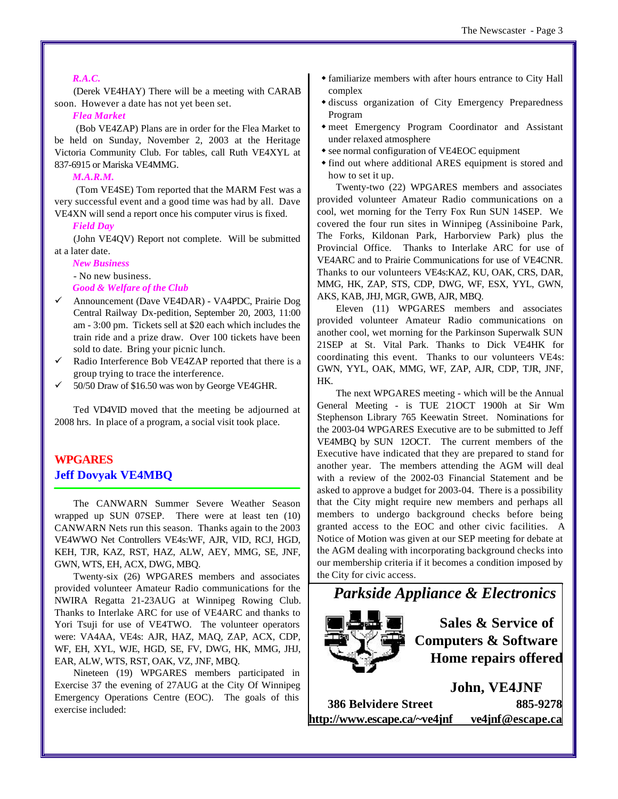#### *R.A.C.*

(Derek VE4HAY) There will be a meeting with CARAB soon. However a date has not yet been set.

#### *Flea Market*

 (Bob VE4ZAP) Plans are in order for the Flea Market to be held on Sunday, November 2, 2003 at the Heritage Victoria Community Club. For tables, call Ruth VE4XYL at 837-6915 or Mariska VE4MMG.

#### *M.A.R.M.*

 (Tom VE4SE) Tom reported that the MARM Fest was a very successful event and a good time was had by all. Dave VE4XN will send a report once his computer virus is fixed.

#### *Field Day*

(John VE4QV) Report not complete. Will be submitted at a later date.

*New Business* 

- No new business.

*Good & Welfare of the Club*

- ¸ Announcement (Dave VE4DAR) VA4PDC, Prairie Dog Central Railway Dx-pedition, September 20, 2003, 11:00 am - 3:00 pm. Tickets sell at \$20 each which includes the train ride and a prize draw. Over 100 tickets have been sold to date. Bring your picnic lunch.
- Radio Interference Bob VE4ZAP reported that there is a group trying to trace the interference.
- ¸ 50/50 Draw of \$16.50 was won by George VE4GHR.

Ted VD4VID moved that the meeting be adjourned at 2008 hrs. In place of a program, a social visit took place.

#### **WPGARES Jeff Dovyak VE4MBQ**

The CANWARN Summer Severe Weather Season wrapped up SUN 07SEP. There were at least ten (10) CANWARN Nets run this season. Thanks again to the 2003 VE4WWO Net Controllers VE4s:WF, AJR, VID, RCJ, HGD, KEH, TJR, KAZ, RST, HAZ, ALW, AEY, MMG, SE, JNF, GWN, WTS, EH, ACX, DWG, MBQ.

Twenty-six (26) WPGARES members and associates provided volunteer Amateur Radio communications for the NWIRA Regatta 21-23AUG at Winnipeg Rowing Club. Thanks to Interlake ARC for use of VE4ARC and thanks to Yori Tsuji for use of VE4TWO. The volunteer operators were: VA4AA, VE4s: AJR, HAZ, MAQ, ZAP, ACX, CDP, WF, EH, XYL, WJE, HGD, SE, FV, DWG, HK, MMG, JHJ, EAR, ALW, WTS, RST, OAK, VZ, JNF, MBQ.

Nineteen (19) WPGARES members participated in Exercise 37 the evening of 27AUG at the City Of Winnipeg Emergency Operations Centre (EOC). The goals of this exercise included:

- w familiarize members with after hours entrance to City Hall complex
- $\bullet$  discuss organization of City Emergency Preparedness Program
- $\bullet$  meet Emergency Program Coordinator and Assistant under relaxed atmosphere
- see normal configuration of VE4EOC equipment
- find out where additional ARES equipment is stored and how to set it up.

Twenty-two (22) WPGARES members and associates provided volunteer Amateur Radio communications on a cool, wet morning for the Terry Fox Run SUN 14SEP. We covered the four run sites in Winnipeg (Assiniboine Park, The Forks, Kildonan Park, Harborview Park) plus the Provincial Office. Thanks to Interlake ARC for use of VE4ARC and to Prairie Communications for use of VE4CNR. Thanks to our volunteers VE4s:KAZ, KU, OAK, CRS, DAR, MMG, HK, ZAP, STS, CDP, DWG, WF, ESX, YYL, GWN, AKS, KAB, JHJ, MGR, GWB, AJR, MBQ.

Eleven (11) WPGARES members and associates provided volunteer Amateur Radio communications on another cool, wet morning for the Parkinson Superwalk SUN 21SEP at St. Vital Park. Thanks to Dick VE4HK for coordinating this event. Thanks to our volunteers VE4s: GWN, YYL, OAK, MMG, WF, ZAP, AJR, CDP, TJR, JNF, HK.

The next WPGARES meeting - which will be the Annual General Meeting - is TUE 21OCT 1900h at Sir Wm Stephenson Library 765 Keewatin Street. Nominations for the 2003-04 WPGARES Executive are to be submitted to Jeff VE4MBQ by SUN 12OCT. The current members of the Executive have indicated that they are prepared to stand for another year. The members attending the AGM will deal with a review of the 2002-03 Financial Statement and be asked to approve a budget for 2003-04. There is a possibility that the City might require new members and perhaps all members to undergo background checks before being granted access to the EOC and other civic facilities. A Notice of Motion was given at our SEP meeting for debate at the AGM dealing with incorporating background checks into our membership criteria if it becomes a condition imposed by the City for civic access.

*Parkside Appliance & Electronics*



**Sales & Service of Computers & Software Home repairs offered**

**John, VE4JNF 386 Belvidere Street 885-9278 <http://www.escape.ca/~ve4jnf> ve4jnf@escape.ca**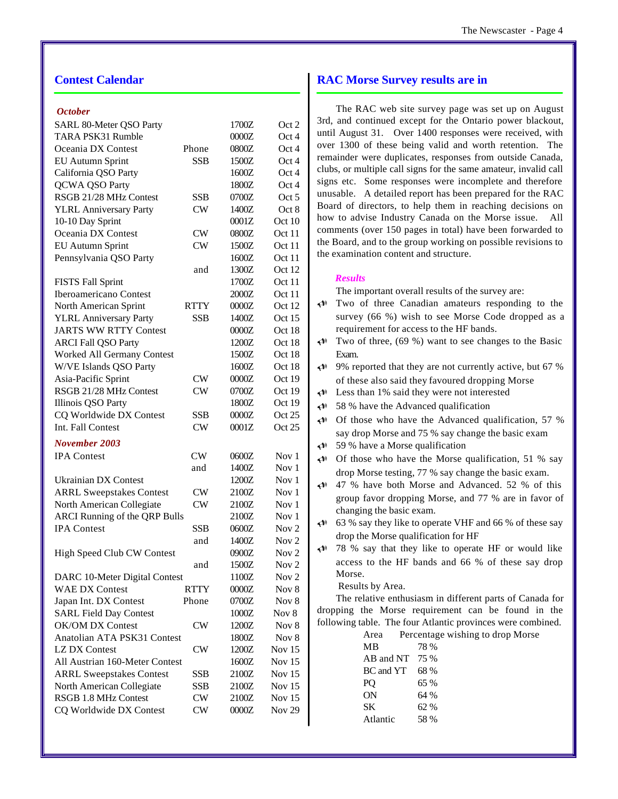#### **Contest Calendar**

#### *October*

| SARL 80-Meter QSO Party              |             | 1700Z | Oct 2             |
|--------------------------------------|-------------|-------|-------------------|
| TARA PSK31 Rumble                    |             | 0000Z | Oct 4             |
| Oceania DX Contest                   | Phone       | 0800Z | Oct 4             |
| <b>EU Autumn Sprint</b>              | <b>SSB</b>  | 1500Z | Oct 4             |
| California QSO Party                 |             | 1600Z | Oct 4             |
| QCWA QSO Party                       |             | 1800Z | Oct 4             |
| RSGB 21/28 MHz Contest               | SSB         | 0700Z | Oct 5             |
| <b>YLRL Anniversary Party</b>        | CW          | 1400Z | Oct 8             |
| 10-10 Day Sprint                     |             | 0001Z | Oct 10            |
| Oceania DX Contest                   | CW          | 0800Z | Oct 11            |
| <b>EU Autumn Sprint</b>              | CW          | 1500Z | Oct 11            |
| Pennsylvania QSO Party               |             | 1600Z | Oct 11            |
|                                      | and         | 1300Z | Oct 12            |
| <b>FISTS Fall Sprint</b>             |             | 1700Z | Oct 11            |
| <b>Iberoamericano Contest</b>        |             | 2000Z | Oct 11            |
| North American Sprint                | <b>RTTY</b> | 0000Z | Oct 12            |
| <b>YLRL Anniversary Party</b>        | <b>SSB</b>  | 1400Z | Oct 15            |
| <b>JARTS WW RTTY Contest</b>         |             | 0000Z | Oct 18            |
| <b>ARCI Fall QSO Party</b>           |             | 1200Z | Oct 18            |
| Worked All Germany Contest           |             | 1500Z | Oct 18            |
| W/VE Islands QSO Party               |             | 1600Z | Oct 18            |
| Asia-Pacific Sprint                  | CW          | 0000Z | Oct 19            |
| RSGB 21/28 MHz Contest               | CW          | 0700Z | Oct 19            |
| Illinois QSO Party                   |             | 1800Z | Oct 19            |
| CQ Worldwide DX Contest              | <b>SSB</b>  | 0000Z | Oct 25            |
| Int. Fall Contest                    | CW          | 0001Z | Oct 25            |
|                                      |             |       |                   |
| November 2003                        |             |       |                   |
| <b>IPA</b> Contest                   | CW          | 0600Z | Nov 1             |
|                                      | and         | 1400Z | Nov 1             |
| <b>Ukrainian DX Contest</b>          |             | 1200Z | Nov 1             |
| <b>ARRL Sweepstakes Contest</b>      | CW          | 2100Z | Nov 1             |
| North American Collegiate            | CW          | 2100Z | Nov <sub>1</sub>  |
| <b>ARCI Running of the QRP Bulls</b> |             | 2100Z | Nov 1             |
| <b>IPA</b> Contest                   | <b>SSB</b>  | 0600Z | Nov $2$           |
|                                      | and         | 1400Z | Nov <sub>2</sub>  |
| High Speed Club CW Contest           |             | 0900Z | Nov <sub>2</sub>  |
|                                      | and         | 1500Z | Nov 2             |
| DARC 10-Meter Digital Contest        |             | 1100Z | Nov <sub>2</sub>  |
| <b>WAE DX Contest</b>                | <b>RTTY</b> | 0000Z | Nov 8             |
| Japan Int. DX Contest                | Phone       | 0700Z | Nov 8             |
| <b>SARL Field Day Contest</b>        |             | 1000Z | Nov 8             |
| OK/OM DX Contest                     | CW          | 1200Z | Nov 8             |
| Anatolian ATA PSK31 Contest          |             | 1800Z | Nov 8             |
| <b>LZ DX Contest</b>                 | CW          | 1200Z | Nov 15            |
| All Austrian 160-Meter Contest       |             | 1600Z | Nov 15            |
| <b>ARRL Sweepstakes Contest</b>      | <b>SSB</b>  | 2100Z | Nov 15            |
| North American Collegiate            | SSB         | 2100Z | Nov 15            |
| RSGB 1.8 MHz Contest                 | CW          | 2100Z | Nov 15            |
| CQ Worldwide DX Contest              | <b>CW</b>   | 0000Z | Nov <sub>29</sub> |
|                                      |             |       |                   |

#### **RAC Morse Survey results are in**

The RAC web site survey page was set up on August 3rd, and continued except for the Ontario power blackout, until August 31. Over 1400 responses were received, with over 1300 of these being valid and worth retention. The remainder were duplicates, responses from outside Canada, clubs, or multiple call signs for the same amateur, invalid call signs etc. Some responses were incomplete and therefore unusable. A detailed report has been prepared for the RAC Board of directors, to help them in reaching decisions on how to advise Industry Canada on the Morse issue. All comments (over 150 pages in total) have been forwarded to the Board, and to the group working on possible revisions to the examination content and structure.

#### *Results*

The important overall results of the survey are:

| $\blacktriangle$     | Two of three Canadian amateurs responding to the            |  |  |  |  |  |  |  |
|----------------------|-------------------------------------------------------------|--|--|--|--|--|--|--|
|                      | survey (66 %) wish to see Morse Code dropped as a           |  |  |  |  |  |  |  |
|                      | requirement for access to the HF bands.                     |  |  |  |  |  |  |  |
| $\leftrightarrow$    | Two of three, (69 %) want to see changes to the Basic       |  |  |  |  |  |  |  |
|                      | Exam.                                                       |  |  |  |  |  |  |  |
| $\blacktriangle$     | 9% reported that they are not currently active, but 67 %    |  |  |  |  |  |  |  |
|                      | of these also said they favoured dropping Morse             |  |  |  |  |  |  |  |
| $\blacktriangle$     | Less than 1% said they were not interested                  |  |  |  |  |  |  |  |
| $\blacktriangle$     | 58 % have the Advanced qualification                        |  |  |  |  |  |  |  |
| $\blacktriangle$     | Of those who have the Advanced qualification, 57 %          |  |  |  |  |  |  |  |
|                      | say drop Morse and 75 % say change the basic exam           |  |  |  |  |  |  |  |
| $\blacktriangle$     | 59 % have a Morse qualification                             |  |  |  |  |  |  |  |
| $\blacktriangle$     | Of those who have the Morse qualification, 51 % say         |  |  |  |  |  |  |  |
|                      | drop Morse testing, 77 % say change the basic exam.         |  |  |  |  |  |  |  |
| $\blacktriangle$     | 47 % have both Morse and Advanced. 52 % of this             |  |  |  |  |  |  |  |
|                      | group favor dropping Morse, and 77 % are in favor of        |  |  |  |  |  |  |  |
|                      | changing the basic exam.                                    |  |  |  |  |  |  |  |
| $\blacktriangleleft$ | 63 % say they like to operate VHF and 66 % of these say     |  |  |  |  |  |  |  |
|                      | drop the Morse qualification for HF                         |  |  |  |  |  |  |  |
| $\triangleleft$      | 78 % say that they like to operate HF or would like         |  |  |  |  |  |  |  |
|                      | access to the HF bands and 66 % of these say drop           |  |  |  |  |  |  |  |
|                      | Morse.                                                      |  |  |  |  |  |  |  |
|                      | Results by Area.                                            |  |  |  |  |  |  |  |
|                      | The relative enthusiasm in different parts of Canada for    |  |  |  |  |  |  |  |
|                      | dropping the Morse requirement can be found in the          |  |  |  |  |  |  |  |
|                      | following table. The four Atlantic provinces were combined. |  |  |  |  |  |  |  |
|                      | Percentage wishing to drop Morse<br>Area                    |  |  |  |  |  |  |  |
|                      | <b>MB</b><br>78 %                                           |  |  |  |  |  |  |  |
|                      | AB and NT 75 %                                              |  |  |  |  |  |  |  |
|                      | BC and YT 68%<br>65 %                                       |  |  |  |  |  |  |  |
|                      | PQ<br><b>ON</b><br>64 %                                     |  |  |  |  |  |  |  |
|                      | <b>SK</b><br>62 %                                           |  |  |  |  |  |  |  |
|                      | Atlantic<br>58 %                                            |  |  |  |  |  |  |  |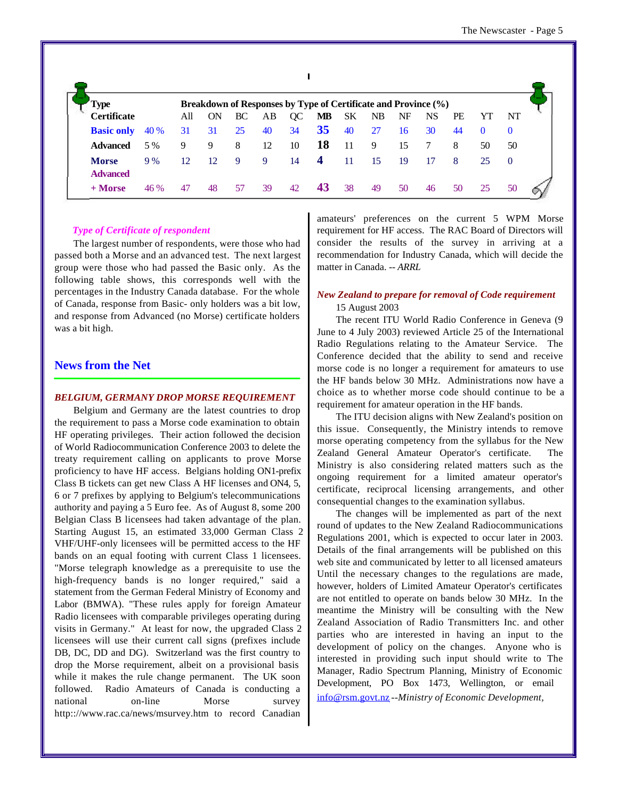| <b>Type</b>               |     | Breakdown of Responses by Type of Certificate and Province (%) |    |    |    |                  |    |    |    |           |    |          |          |
|---------------------------|-----|----------------------------------------------------------------|----|----|----|------------------|----|----|----|-----------|----|----------|----------|
| <b>Certificate</b>        | All | ON                                                             | BC | AВ | QC | MВ               | SK | NB | NF | <b>NS</b> | PE | YT       | NT       |
| <b>Basic only</b><br>40 % | 31  | 31                                                             | 25 | 40 | 34 | 35               | 40 | 27 | 16 | 30        | 44 | $\bf{0}$ | $\theta$ |
| 5 %<br><b>Advanced</b>    | 9   | 9                                                              | 8  | 12 | 10 | 18               | 11 | 9  | 15 | 7         | 8  | 50       | 50       |
| 9%<br><b>Morse</b>        | 12  | 12                                                             | 9  | 9  | 14 | $\boldsymbol{4}$ | 11 | 15 | 19 | 17        | 8  | 25       | $\theta$ |

#### *Type of Certificate of respondent*

The largest number of respondents, were those who had passed both a Morse and an advanced test. The next largest group were those who had passed the Basic only. As the following table shows, this corresponds well with the percentages in the Industry Canada database. For the whole of Canada, response from Basic- only holders was a bit low, and response from Advanced (no Morse) certificate holders was a bit high.

#### **News from the Net**

#### *BELGIUM, GERMANY DROP MORSE REQUIREMENT*

Belgium and Germany are the latest countries to drop the requirement to pass a Morse code examination to obtain HF operating privileges. Their action followed the decision of World Radiocommunication Conference 2003 to delete the treaty requirement calling on applicants to prove Morse proficiency to have HF access. Belgians holding ON1-prefix Class B tickets can get new Class A HF licenses and ON4, 5, 6 or 7 prefixes by applying to Belgium's telecommunications authority and paying a 5 Euro fee. As of August 8, some 200 Belgian Class B licensees had taken advantage of the plan. Starting August 15, an estimated 33,000 German Class 2 VHF/UHF-only licensees will be permitted access to the HF bands on an equal footing with current Class 1 licensees. "Morse telegraph knowledge as a prerequisite to use the high-frequency bands is no longer required," said a statement from the German Federal Ministry of Economy and Labor (BMWA). "These rules apply for foreign Amateur Radio licensees with comparable privileges operating during visits in Germany." At least for now, the upgraded Class 2 licensees will use their current call signs (prefixes include DB, DC, DD and DG). Switzerland was the first country to drop the Morse requirement, albeit on a provisional basis while it makes the rule change permanent. The UK soon followed. Radio Amateurs of Canada is conducting a national on-line Morse survey <http:://www.rac.ca/news/msurvey.htm>to record Canadian

amateurs' preferences on the current 5 WPM Morse requirement for HF access. The RAC Board of Directors will consider the results of the survey in arriving at a recommendation for Industry Canada, which will decide the matter in Canada. *-- ARRL*

#### *New Zealand to prepare for removal of Code requirement*

#### 15 August 2003

The recent ITU World Radio Conference in Geneva (9 June to 4 July 2003) reviewed Article 25 of the International Radio Regulations relating to the Amateur Service. The Conference decided that the ability to send and receive morse code is no longer a requirement for amateurs to use the HF bands below 30 MHz. Administrations now have a choice as to whether morse code should continue to be a requirement for amateur operation in the HF bands.

The ITU decision aligns with New Zealand's position on this issue. Consequently, the Ministry intends to remove morse operating competency from the syllabus for the New Zealand General Amateur Operator's certificate. The Ministry is also considering related matters such as the ongoing requirement for a limited amateur operator's certificate, reciprocal licensing arrangements, and other consequential changes to the examination syllabus.

The changes will be implemented as part of the next round of updates to the New Zealand Radiocommunications Regulations 2001, which is expected to occur later in 2003. Details of the final arrangements will be published on this web site and communicated by letter to all licensed amateurs Until the necessary changes to the regulations are made, however, holders of Limited Amateur Operator's certificates are not entitled to operate on bands below 30 MHz. In the meantime the Ministry will be consulting with the New Zealand Association of Radio Transmitters Inc. and other parties who are interested in having an input to the development of policy on the changes. Anyone who is interested in providing such input should write to The Manager, Radio Spectrum Planning, Ministry of Economic Development, PO Box 1473, Wellington, or email info@rsm.govt.nz *--Ministry of Economic Development,*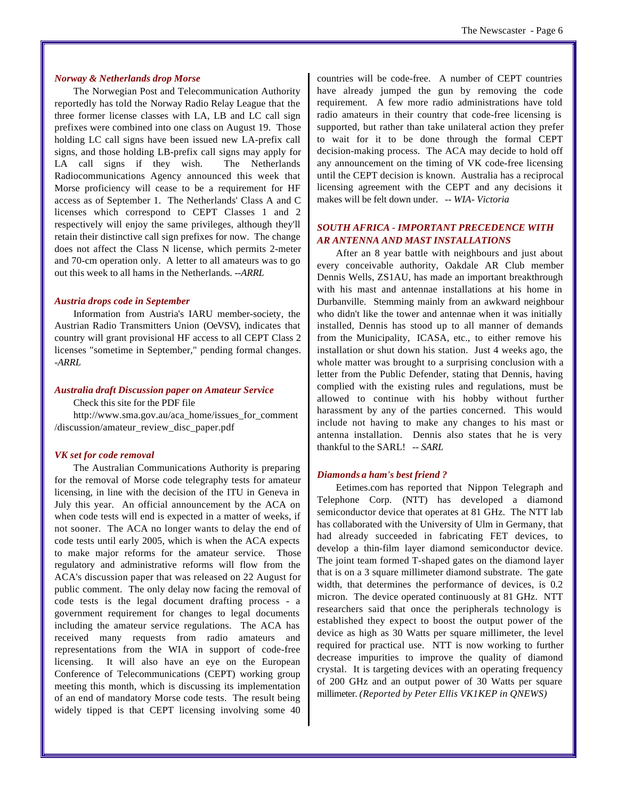#### *Norway & Netherlands drop Morse*

The Norwegian Post and Telecommunication Authority reportedly has told the Norway Radio Relay League that the three former license classes with LA, LB and LC call sign prefixes were combined into one class on August 19. Those holding LC call signs have been issued new LA-prefix call signs, and those holding LB-prefix call signs may apply for LA call signs if they wish. The Netherlands Radiocommunications Agency announced this week that Morse proficiency will cease to be a requirement for HF access as of September 1. The Netherlands' Class A and C licenses which correspond to CEPT Classes 1 and 2 respectively will enjoy the same privileges, although they'll retain their distinctive call sign prefixes for now. The change does not affect the Class N license, which permits 2-meter and 70-cm operation only. A letter to all amateurs was to go out this week to all hams in the Netherlands*. --ARRL*

#### *Austria drops code in September*

Information from Austria's IARU member-society, the Austrian Radio Transmitters Union (OeVSV), indicates that country will grant provisional HF access to all CEPT Class 2 licenses "sometime in September," pending formal changes. *-ARRL*

#### *Australia draft Discussion paper on Amateur Service*

Check this site for the PDF file

[http://www.sma.gov.au/aca\\_home/issues\\_for\\_comment](http://www.sma.gov.au/aca_home/issues_for_comment) /discussion/amateur\_review\_disc\_paper.pdf

#### *VK set for code removal*

The Australian Communications Authority is preparing for the removal of Morse code telegraphy tests for amateur licensing, in line with the decision of the ITU in Geneva in July this year. An official announcement by the ACA on when code tests will end is expected in a matter of weeks, if not sooner. The ACA no longer wants to delay the end of code tests until early 2005, which is when the ACA expects to make major reforms for the amateur service. Those regulatory and administrative reforms will flow from the ACA's discussion paper that was released on 22 August for public comment. The only delay now facing the removal of code tests is the legal document drafting process - a government requirement for changes to legal documents including the amateur service regulations. The ACA has received many requests from radio amateurs and representations from the WIA in support of code-free licensing. It will also have an eye on the European Conference of Telecommunications (CEPT) working group meeting this month, which is discussing its implementation of an end of mandatory Morse code tests. The result being widely tipped is that CEPT licensing involving some 40

countries will be code-free. A number of CEPT countries have already jumped the gun by removing the code requirement. A few more radio administrations have told radio amateurs in their country that code-free licensing is supported, but rather than take unilateral action they prefer to wait for it to be done through the formal CEPT decision-making process. The ACA may decide to hold off any announcement on the timing of VK code-free licensing until the CEPT decision is known. Australia has a reciprocal licensing agreement with the CEPT and any decisions it makes will be felt down under. *-- WIA- Victoria*

#### *SOUTH AFRICA - IMPORTANT PRECEDENCE WITH AR ANTENNA AND MAST INSTALLATIONS*

After an 8 year battle with neighbours and just about every conceivable authority, Oakdale AR Club member Dennis Wells, ZS1AU, has made an important breakthrough with his mast and antennae installations at his home in Durbanville. Stemming mainly from an awkward neighbour who didn't like the tower and antennae when it was initially installed, Dennis has stood up to all manner of demands from the Municipality, ICASA, etc., to either remove his installation or shut down his station. Just 4 weeks ago, the whole matter was brought to a surprising conclusion with a letter from the Public Defender, stating that Dennis, having complied with the existing rules and regulations, must be allowed to continue with his hobby without further harassment by any of the parties concerned. This would include not having to make any changes to his mast or antenna installation. Dennis also states that he is very thankful to the SARL! *-- SARL* 

#### *Diamonds a ham's best friend ?*

Eetimes.com has reported that Nippon Telegraph and Telephone Corp. (NTT) has developed a diamond semiconductor device that operates at 81 GHz. The NTT lab has collaborated with the University of Ulm in Germany, that had already succeeded in fabricating FET devices, to develop a thin-film layer diamond semiconductor device. The joint team formed T-shaped gates on the diamond layer that is on a 3 square millimeter diamond substrate. The gate width, that determines the performance of devices, is 0.2 micron. The device operated continuously at 81 GHz. NTT researchers said that once the peripherals technology is established they expect to boost the output power of the device as high as 30 Watts per square millimeter, the level required for practical use. NTT is now working to further decrease impurities to improve the quality of diamond crystal. It is targeting devices with an operating frequency of 200 GHz and an output power of 30 Watts per square millimeter. *(Reported by Peter Ellis VK1KEP in QNEWS)*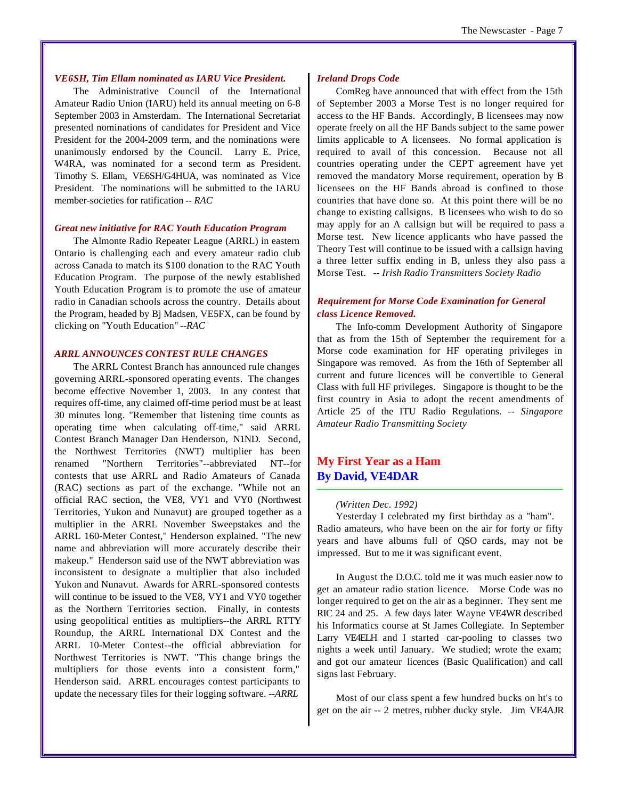#### *VE6SH, Tim Ellam nominated as IARU Vice President.*

The Administrative Council of the International Amateur Radio Union (IARU) held its annual meeting on 6-8 September 2003 in Amsterdam. The International Secretariat presented nominations of candidates for President and Vice President for the 2004-2009 term, and the nominations were unanimously endorsed by the Council. Larry E. Price, W4RA, was nominated for a second term as President. Timothy S. Ellam, VE6SH/G4HUA, was nominated as Vice President. The nominations will be submitted to the IARU member-societies for ratification *-- RAC*

#### *Great new initiative for RAC Youth Education Program*

The Almonte Radio Repeater League (ARRL) in eastern Ontario is challenging each and every amateur radio club across Canada to match its \$100 donation to the RAC Youth Education Program. The purpose of the newly established Youth Education Program is to promote the use of amateur radio in Canadian schools across the country. Details about the Program, headed by Bj Madsen, VE5FX, can be found by clicking on "Youth Education" *--RAC*

#### *ARRL ANNOUNCES CONTEST RULE CHANGES*

The ARRL Contest Branch has announced rule changes governing ARRL-sponsored operating events. The changes become effective November 1, 2003. In any contest that requires off-time, any claimed off-time period must be at least 30 minutes long. "Remember that listening time counts as operating time when calculating off-time," said ARRL Contest Branch Manager Dan Henderson, N1ND. Second, the Northwest Territories (NWT) multiplier has been renamed "Northern Territories"--abbreviated NT--for contests that use ARRL and Radio Amateurs of Canada (RAC) sections as part of the exchange. "While not an official RAC section, the VE8, VY1 and VY0 (Northwest Territories, Yukon and Nunavut) are grouped together as a multiplier in the ARRL November Sweepstakes and the ARRL 160-Meter Contest," Henderson explained. "The new name and abbreviation will more accurately describe their makeup." Henderson said use of the NWT abbreviation was inconsistent to designate a multiplier that also included Yukon and Nunavut. Awards for ARRL-sponsored contests will continue to be issued to the VE8, VY1 and VY0 together as the Northern Territories section. Finally, in contests using geopolitical entities as multipliers--the ARRL RTTY Roundup, the ARRL International DX Contest and the ARRL 10-Meter Contest--the official abbreviation for Northwest Territories is NWT. "This change brings the multipliers for those events into a consistent form," Henderson said. ARRL encourages contest participants to update the necessary files for their logging software. *--ARRL*

#### *Ireland Drops Code*

ComReg have announced that with effect from the 15th of September 2003 a Morse Test is no longer required for access to the HF Bands. Accordingly, B licensees may now operate freely on all the HF Bands subject to the same power limits applicable to A licensees. No formal application is required to avail of this concession. Because not all countries operating under the CEPT agreement have yet removed the mandatory Morse requirement, operation by B licensees on the HF Bands abroad is confined to those countries that have done so. At this point there will be no change to existing callsigns. B licensees who wish to do so may apply for an A callsign but will be required to pass a Morse test. New licence applicants who have passed the Theory Test will continue to be issued with a callsign having a three letter suffix ending in B, unless they also pass a Morse Test. *-- Irish Radio Transmitters Society Radio*

#### *Requirement for Morse Code Examination for General class Licence Removed.*

The Info-comm Development Authority of Singapore that as from the 15th of September the requirement for a Morse code examination for HF operating privileges in Singapore was removed. As from the 16th of September all current and future licences will be convertible to General Class with full HF privileges. Singapore is thought to be the first country in Asia to adopt the recent amendments of Article 25 of the ITU Radio Regulations. *-- Singapore Amateur Radio Transmitting Society*

#### **My First Year as a Ham By David, VE4DAR**

#### *(Written Dec. 1992)*

Yesterday I celebrated my first birthday as a "ham". Radio amateurs, who have been on the air for forty or fifty years and have albums full of QSO cards, may not be impressed. But to me it was significant event.

In August the D.O.C. told me it was much easier now to get an amateur radio station licence. Morse Code was no longer required to get on the air as a beginner. They sent me RIC 24 and 25. A few days later Wayne VE4WR described his Informatics course at St James Collegiate. In September Larry VE4ELH and I started car-pooling to classes two nights a week until January. We studied; wrote the exam; and got our amateur licences (Basic Qualification) and call signs last February.

Most of our class spent a few hundred bucks on ht's to get on the air -- 2 metres, rubber ducky style. Jim VE4AJR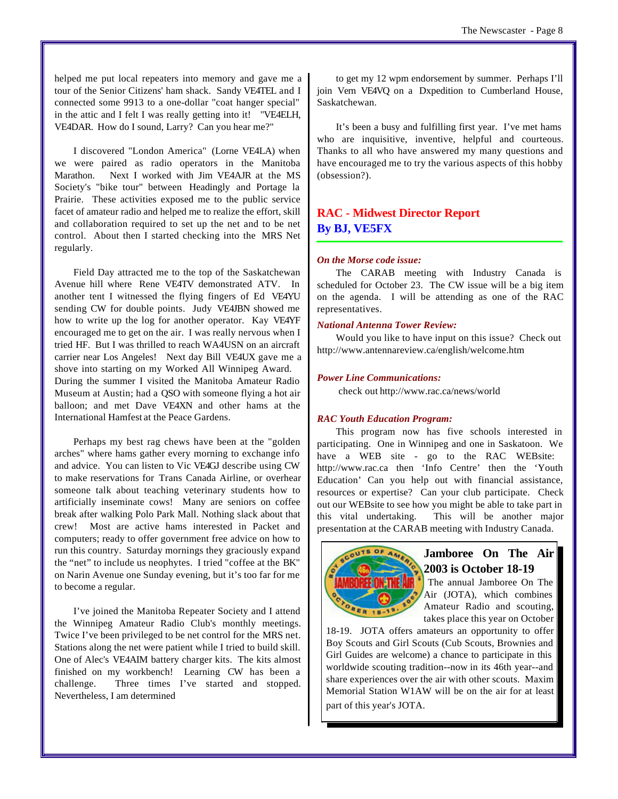helped me put local repeaters into memory and gave me a tour of the Senior Citizens' ham shack. Sandy VE4TEL and I connected some 9913 to a one-dollar "coat hanger special" in the attic and I felt I was really getting into it! "VE4ELH, VE4DAR. How do I sound, Larry? Can you hear me?"

I discovered "London America" (Lorne VE4LA) when we were paired as radio operators in the Manitoba Marathon. Next I worked with Jim VE4AJR at the MS Society's "bike tour" between Headingly and Portage la Prairie. These activities exposed me to the public service facet of amateur radio and helped me to realize the effort, skill and collaboration required to set up the net and to be net control. About then I started checking into the MRS Net regularly.

Field Day attracted me to the top of the Saskatchewan Avenue hill where Rene VE4TV demonstrated ATV. In another tent I witnessed the flying fingers of Ed VE4YU sending CW for double points. Judy VE4JBN showed me how to write up the log for another operator. Kay VE4YF encouraged me to get on the air. I was really nervous when I tried HF. But I was thrilled to reach WA4USN on an aircraft carrier near Los Angeles! Next day Bill VE4UX gave me a shove into starting on my Worked All Winnipeg Award. During the summer I visited the Manitoba Amateur Radio Museum at Austin; had a QSO with someone flying a hot air balloon; and met Dave VE4XN and other hams at the International Hamfest at the Peace Gardens.

Perhaps my best rag chews have been at the "golden arches" where hams gather every morning to exchange info and advice. You can listen to Vic VE4GJ describe using CW to make reservations for Trans Canada Airline, or overhear someone talk about teaching veterinary students how to artificially inseminate cows! Many are seniors on coffee break after walking Polo Park Mall. Nothing slack about that crew! Most are active hams interested in Packet and computers; ready to offer government free advice on how to run this country. Saturday mornings they graciously expand the "net" to include us neophytes. I tried "coffee at the BK" on Narin Avenue one Sunday evening, but it's too far for me to become a regular.

I've joined the Manitoba Repeater Society and I attend the Winnipeg Amateur Radio Club's monthly meetings. Twice I've been privileged to be net control for the MRS net. Stations along the net were patient while I tried to build skill. One of Alec's VE4AIM battery charger kits. The kits almost finished on my workbench! Learning CW has been a challenge. Three times I've started and stopped. Nevertheless, I am determined

to get my 12 wpm endorsement by summer. Perhaps I'll join Vern VE4VQ on a Dxpedition to Cumberland House, Saskatchewan.

It's been a busy and fulfilling first year. I've met hams who are inquisitive, inventive, helpful and courteous. Thanks to all who have answered my many questions and have encouraged me to try the various aspects of this hobby (obsession?).

#### **RAC - Midwest Director Report By BJ, VE5FX**

#### *On the Morse code issue:*

The CARAB meeting with Industry Canada is scheduled for October 23. The CW issue will be a big item on the agenda. I will be attending as one of the RAC representatives.

#### *National Antenna Tower Review:*

Would you like to have input on this issue? Check out <http://www.antennareview.ca/english/welcome.htm>

#### *Power Line Communications:*

check out<http://www.rac.ca/news/world>

#### *RAC Youth Education Program:*

This program now has five schools interested in participating. One in Winnipeg and one in Saskatoon. We have a WEB site - go to the RAC WEBsite: <http://www.rac.ca>then 'Info Centre' then the 'Youth Education' Can you help out with financial assistance, resources or expertise? Can your club participate. Check out our WEBsite to see how you might be able to take part in this vital undertaking. This will be another major presentation at the CARAB meeting with Industry Canada.



#### **Jamboree On The Air 2003 is October 18-19**

 The annual Jamboree On The Air (JOTA), which combines Amateur Radio and scouting, takes place this year on October

18-19. JOTA offers amateurs an opportunity to offer Boy Scouts and Girl Scouts (Cub Scouts, Brownies and Girl Guides are welcome) a chance to participate in this worldwide scouting tradition--now in its 46th year--and share experiences over the air with other scouts. Maxim Memorial Station W1AW will be on the air for at least part of this year's JOTA.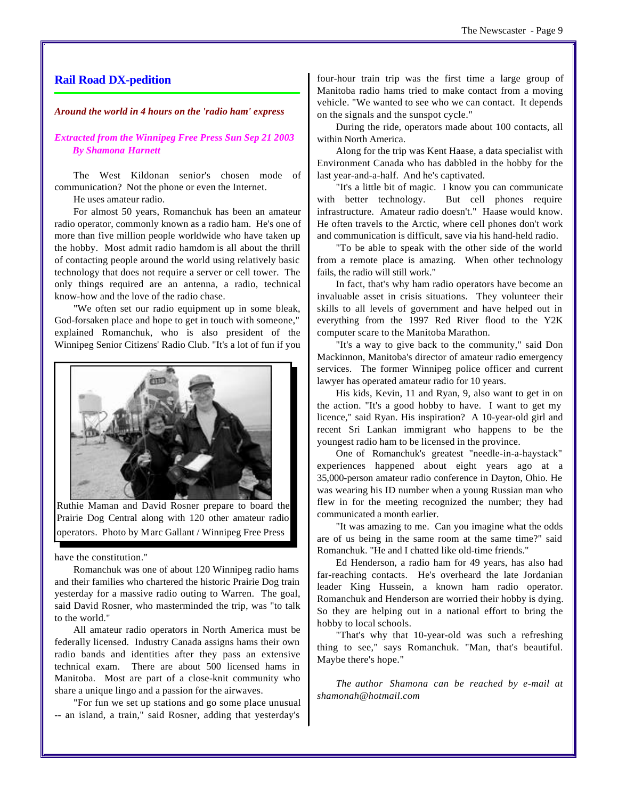#### **Rail Road DX-pedition**

#### *Around the world in 4 hours on the 'radio ham' express*

*Extracted from the Winnipeg Free Press Sun Sep 21 2003 By Shamona Harnett*

The West Kildonan senior's chosen mode of communication? Not the phone or even the Internet.

He uses amateur radio.

For almost 50 years, Romanchuk has been an amateur radio operator, commonly known as a radio ham. He's one of more than five million people worldwide who have taken up the hobby. Most admit radio hamdom is all about the thrill of contacting people around the world using relatively basic technology that does not require a server or cell tower. The only things required are an antenna, a radio, technical know-how and the love of the radio chase.

"We often set our radio equipment up in some bleak, God-forsaken place and hope to get in touch with someone," explained Romanchuk, who is also president of the Winnipeg Senior Citizens' Radio Club. "It's a lot of fun if you



Ruthie Maman and David Rosner prepare to board the Prairie Dog Central along with 120 other amateur radio operators. Photo by Marc Gallant / Winnipeg Free Press

have the constitution."

Romanchuk was one of about 120 Winnipeg radio hams and their families who chartered the historic Prairie Dog train yesterday for a massive radio outing to Warren. The goal, said David Rosner, who masterminded the trip, was "to talk to the world."

All amateur radio operators in North America must be federally licensed. Industry Canada assigns hams their own radio bands and identities after they pass an extensive technical exam. There are about 500 licensed hams in Manitoba. Most are part of a close-knit community who share a unique lingo and a passion for the airwaves.

"For fun we set up stations and go some place unusual -- an island, a train," said Rosner, adding that yesterday's

four-hour train trip was the first time a large group of Manitoba radio hams tried to make contact from a moving vehicle. "We wanted to see who we can contact. It depends on the signals and the sunspot cycle."

During the ride, operators made about 100 contacts, all within North America.

Along for the trip was Kent Haase, a data specialist with Environment Canada who has dabbled in the hobby for the last year-and-a-half. And he's captivated.

"It's a little bit of magic. I know you can communicate with better technology. But cell phones require infrastructure. Amateur radio doesn't." Haase would know. He often travels to the Arctic, where cell phones don't work and communication is difficult, save via his hand-held radio.

"To be able to speak with the other side of the world from a remote place is amazing. When other technology fails, the radio will still work."

In fact, that's why ham radio operators have become an invaluable asset in crisis situations. They volunteer their skills to all levels of government and have helped out in everything from the 1997 Red River flood to the Y2K computer scare to the Manitoba Marathon.

"It's a way to give back to the community," said Don Mackinnon, Manitoba's director of amateur radio emergency services. The former Winnipeg police officer and current lawyer has operated amateur radio for 10 years.

His kids, Kevin, 11 and Ryan, 9, also want to get in on the action. "It's a good hobby to have. I want to get my licence," said Ryan. His inspiration? A 10-year-old girl and recent Sri Lankan immigrant who happens to be the youngest radio ham to be licensed in the province.

One of Romanchuk's greatest "needle-in-a-haystack" experiences happened about eight years ago at a 35,000-person amateur radio conference in Dayton, Ohio. He was wearing his ID number when a young Russian man who flew in for the meeting recognized the number; they had communicated a month earlier.

"It was amazing to me. Can you imagine what the odds are of us being in the same room at the same time?" said Romanchuk. "He and I chatted like old-time friends."

Ed Henderson, a radio ham for 49 years, has also had far-reaching contacts. He's overheard the late Jordanian leader King Hussein, a known ham radio operator. Romanchuk and Henderson are worried their hobby is dying. So they are helping out in a national effort to bring the hobby to local schools.

"That's why that 10-year-old was such a refreshing thing to see," says Romanchuk. "Man, that's beautiful. Maybe there's hope."

*The author Shamona can be reached by e-mail at shamonah@hotmail.com*